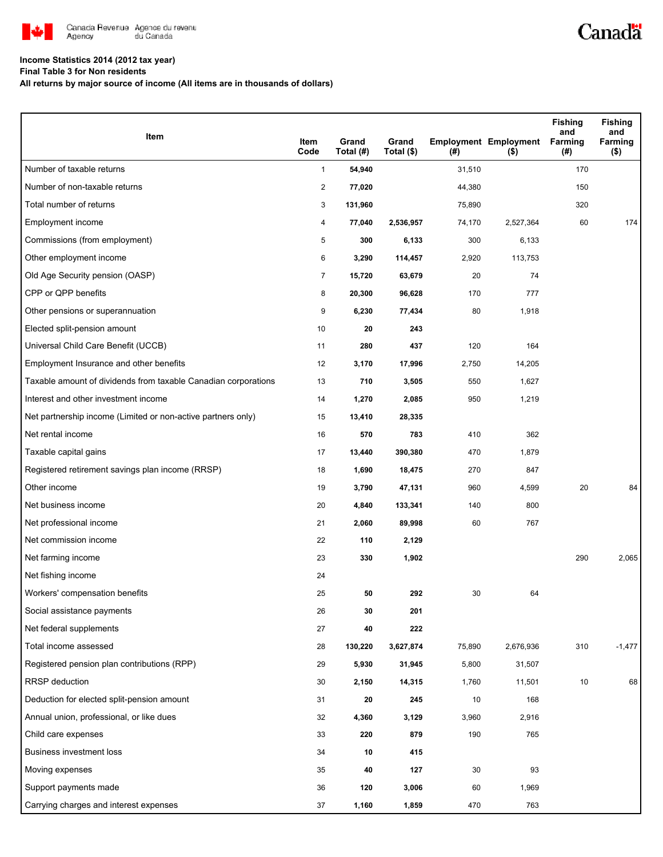

## **Income Statistics 2014 (2012 tax year)**

**Final Table 3 for Non residents**

**All returns by major source of income (All items are in thousands of dollars)**

| Item                                                           | Item<br>Code   | Grand<br>Total (#) | Grand<br>Total (\$) | $($ #) | <b>Employment Employment</b><br>( \$) | <b>Fishing</b><br>and<br>Farming<br>(#) | <b>Fishing</b><br>and<br>Farming<br>( \$) |
|----------------------------------------------------------------|----------------|--------------------|---------------------|--------|---------------------------------------|-----------------------------------------|-------------------------------------------|
| Number of taxable returns                                      | $\mathbf{1}$   | 54,940             |                     | 31,510 |                                       | 170                                     |                                           |
| Number of non-taxable returns                                  | $\overline{c}$ | 77,020             |                     | 44,380 |                                       | 150                                     |                                           |
| Total number of returns                                        | 3              | 131,960            |                     | 75,890 |                                       | 320                                     |                                           |
| Employment income                                              | 4              | 77,040             | 2,536,957           | 74,170 | 2,527,364                             | 60                                      | 174                                       |
| Commissions (from employment)                                  | 5              | 300                | 6,133               | 300    | 6,133                                 |                                         |                                           |
| Other employment income                                        | 6              | 3,290              | 114,457             | 2,920  | 113,753                               |                                         |                                           |
| Old Age Security pension (OASP)                                | $\overline{7}$ | 15,720             | 63,679              | 20     | 74                                    |                                         |                                           |
| CPP or QPP benefits                                            | 8              | 20,300             | 96,628              | 170    | 777                                   |                                         |                                           |
| Other pensions or superannuation                               | 9              | 6,230              | 77,434              | 80     | 1,918                                 |                                         |                                           |
| Elected split-pension amount                                   | 10             | 20                 | 243                 |        |                                       |                                         |                                           |
| Universal Child Care Benefit (UCCB)                            | 11             | 280                | 437                 | 120    | 164                                   |                                         |                                           |
| Employment Insurance and other benefits                        | 12             | 3,170              | 17,996              | 2,750  | 14,205                                |                                         |                                           |
| Taxable amount of dividends from taxable Canadian corporations | 13             | 710                | 3,505               | 550    | 1,627                                 |                                         |                                           |
| Interest and other investment income                           | 14             | 1,270              | 2,085               | 950    | 1,219                                 |                                         |                                           |
| Net partnership income (Limited or non-active partners only)   | 15             | 13,410             | 28,335              |        |                                       |                                         |                                           |
| Net rental income                                              | 16             | 570                | 783                 | 410    | 362                                   |                                         |                                           |
| Taxable capital gains                                          | 17             | 13,440             | 390,380             | 470    | 1,879                                 |                                         |                                           |
| Registered retirement savings plan income (RRSP)               | 18             | 1,690              | 18,475              | 270    | 847                                   |                                         |                                           |
| Other income                                                   | 19             | 3,790              | 47,131              | 960    | 4,599                                 | 20                                      | 84                                        |
| Net business income                                            | 20             | 4,840              | 133,341             | 140    | 800                                   |                                         |                                           |
| Net professional income                                        | 21             | 2,060              | 89,998              | 60     | 767                                   |                                         |                                           |
| Net commission income                                          | 22             | 110                | 2,129               |        |                                       |                                         |                                           |
| Net farming income                                             | 23             | 330                | 1,902               |        |                                       | 290                                     | 2,065                                     |
| Net fishing income                                             | 24             |                    |                     |        |                                       |                                         |                                           |
| Workers' compensation benefits                                 | 25             | 50                 | 292                 | 30     | 64                                    |                                         |                                           |
| Social assistance payments                                     | 26             | 30                 | 201                 |        |                                       |                                         |                                           |
| Net federal supplements                                        | 27             | 40                 | 222                 |        |                                       |                                         |                                           |
| Total income assessed                                          | 28             | 130,220            | 3,627,874           | 75,890 | 2,676,936                             | 310                                     | $-1,477$                                  |
| Registered pension plan contributions (RPP)                    | 29             | 5,930              | 31,945              | 5,800  | 31,507                                |                                         |                                           |
| RRSP deduction                                                 | 30             | 2,150              | 14,315              | 1,760  | 11,501                                | 10                                      | 68                                        |
| Deduction for elected split-pension amount                     | 31             | 20                 | 245                 | 10     | 168                                   |                                         |                                           |
| Annual union, professional, or like dues                       | 32             | 4,360              | 3,129               | 3,960  | 2,916                                 |                                         |                                           |
| Child care expenses                                            | 33             | 220                | 879                 | 190    | 765                                   |                                         |                                           |
| <b>Business investment loss</b>                                | 34             | 10                 | 415                 |        |                                       |                                         |                                           |
| Moving expenses                                                | 35             | 40                 | 127                 | 30     | 93                                    |                                         |                                           |
| Support payments made                                          | 36             | 120                | 3,006               | 60     | 1,969                                 |                                         |                                           |
| Carrying charges and interest expenses                         | 37             | 1,160              | 1,859               | 470    | 763                                   |                                         |                                           |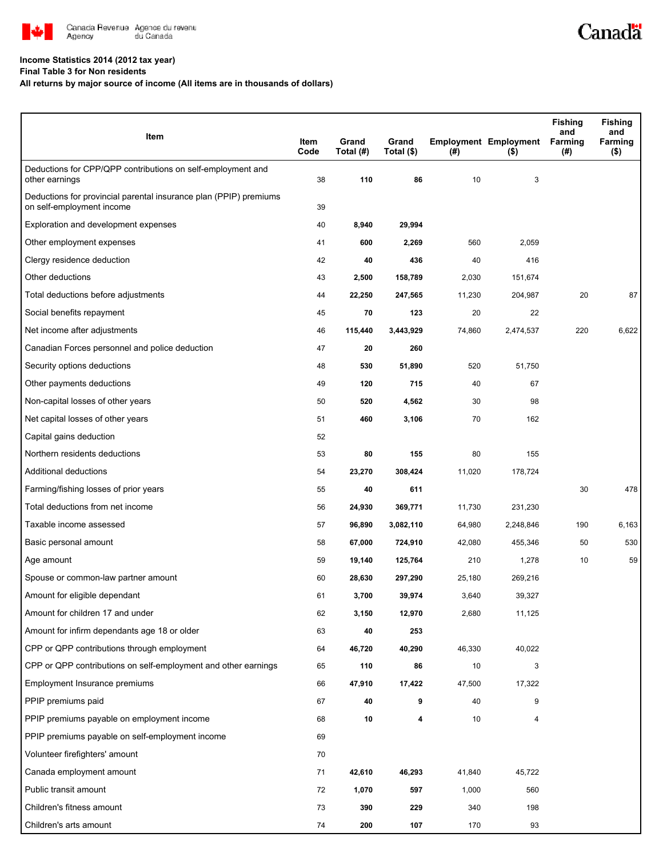

## **Income Statistics 2014 (2012 tax year)**

**Final Table 3 for Non residents**

## **All returns by major source of income (All items are in thousands of dollars)**

| Item                                                                                           | Item<br>Code | Grand<br>Total (#) | Grand<br>Total (\$) | (#)    | <b>Employment Employment</b><br>$($ \$) | <b>Fishing</b><br>and<br>Farming<br>(#) | <b>Fishing</b><br>and<br>Farming<br>(\$) |
|------------------------------------------------------------------------------------------------|--------------|--------------------|---------------------|--------|-----------------------------------------|-----------------------------------------|------------------------------------------|
| Deductions for CPP/QPP contributions on self-employment and<br>other earnings                  | 38           | 110                | 86                  | 10     | 3                                       |                                         |                                          |
| Deductions for provincial parental insurance plan (PPIP) premiums<br>on self-employment income | 39           |                    |                     |        |                                         |                                         |                                          |
| Exploration and development expenses                                                           | 40           | 8,940              | 29,994              |        |                                         |                                         |                                          |
| Other employment expenses                                                                      | 41           | 600                | 2,269               | 560    | 2,059                                   |                                         |                                          |
| Clergy residence deduction                                                                     | 42           | 40                 | 436                 | 40     | 416                                     |                                         |                                          |
| Other deductions                                                                               | 43           | 2,500              | 158,789             | 2,030  | 151,674                                 |                                         |                                          |
| Total deductions before adjustments                                                            | 44           | 22,250             | 247,565             | 11,230 | 204,987                                 | 20                                      | 87                                       |
| Social benefits repayment                                                                      | 45           | 70                 | 123                 | 20     | 22                                      |                                         |                                          |
| Net income after adjustments                                                                   | 46           | 115,440            | 3,443,929           | 74,860 | 2,474,537                               | 220                                     | 6,622                                    |
| Canadian Forces personnel and police deduction                                                 | 47           | 20                 | 260                 |        |                                         |                                         |                                          |
| Security options deductions                                                                    | 48           | 530                | 51,890              | 520    | 51,750                                  |                                         |                                          |
| Other payments deductions                                                                      | 49           | 120                | 715                 | 40     | 67                                      |                                         |                                          |
| Non-capital losses of other years                                                              | 50           | 520                | 4,562               | 30     | 98                                      |                                         |                                          |
| Net capital losses of other years                                                              | 51           | 460                | 3,106               | 70     | 162                                     |                                         |                                          |
| Capital gains deduction                                                                        | 52           |                    |                     |        |                                         |                                         |                                          |
| Northern residents deductions                                                                  | 53           | 80                 | 155                 | 80     | 155                                     |                                         |                                          |
| Additional deductions                                                                          | 54           | 23,270             | 308,424             | 11,020 | 178,724                                 |                                         |                                          |
| Farming/fishing losses of prior years                                                          | 55           | 40                 | 611                 |        |                                         | 30                                      | 478                                      |
| Total deductions from net income                                                               | 56           | 24,930             | 369,771             | 11,730 | 231,230                                 |                                         |                                          |
| Taxable income assessed                                                                        | 57           | 96,890             | 3,082,110           | 64,980 | 2,248,846                               | 190                                     | 6,163                                    |
| Basic personal amount                                                                          | 58           | 67,000             | 724,910             | 42,080 | 455,346                                 | 50                                      | 530                                      |
| Age amount                                                                                     | 59           | 19,140             | 125,764             | 210    | 1,278                                   | 10                                      | 59                                       |
| Spouse or common-law partner amount                                                            | 60           | 28,630             | 297,290             | 25,180 | 269,216                                 |                                         |                                          |
| Amount for eligible dependant                                                                  | 61           | 3,700              | 39,974              | 3,640  | 39,327                                  |                                         |                                          |
| Amount for children 17 and under                                                               | 62           | 3,150              | 12,970              | 2,680  | 11,125                                  |                                         |                                          |
| Amount for infirm dependants age 18 or older                                                   | 63           | 40                 | 253                 |        |                                         |                                         |                                          |
| CPP or QPP contributions through employment                                                    | 64           | 46,720             | 40,290              | 46,330 | 40,022                                  |                                         |                                          |
| CPP or QPP contributions on self-employment and other earnings                                 | 65           | 110                | 86                  | 10     | 3                                       |                                         |                                          |
| Employment Insurance premiums                                                                  | 66           | 47,910             | 17,422              | 47,500 | 17,322                                  |                                         |                                          |
| PPIP premiums paid                                                                             | 67           | 40                 | 9                   | 40     | 9                                       |                                         |                                          |
| PPIP premiums payable on employment income                                                     | 68           | 10                 | 4                   | 10     | 4                                       |                                         |                                          |
| PPIP premiums payable on self-employment income                                                | 69           |                    |                     |        |                                         |                                         |                                          |
| Volunteer firefighters' amount                                                                 | 70           |                    |                     |        |                                         |                                         |                                          |
| Canada employment amount                                                                       | 71           | 42,610             | 46,293              | 41,840 | 45,722                                  |                                         |                                          |
| Public transit amount                                                                          | 72           | 1,070              | 597                 | 1,000  | 560                                     |                                         |                                          |
| Children's fitness amount                                                                      | 73           | 390                | 229                 | 340    | 198                                     |                                         |                                          |
| Children's arts amount                                                                         | 74           | 200                | 107                 | 170    | 93                                      |                                         |                                          |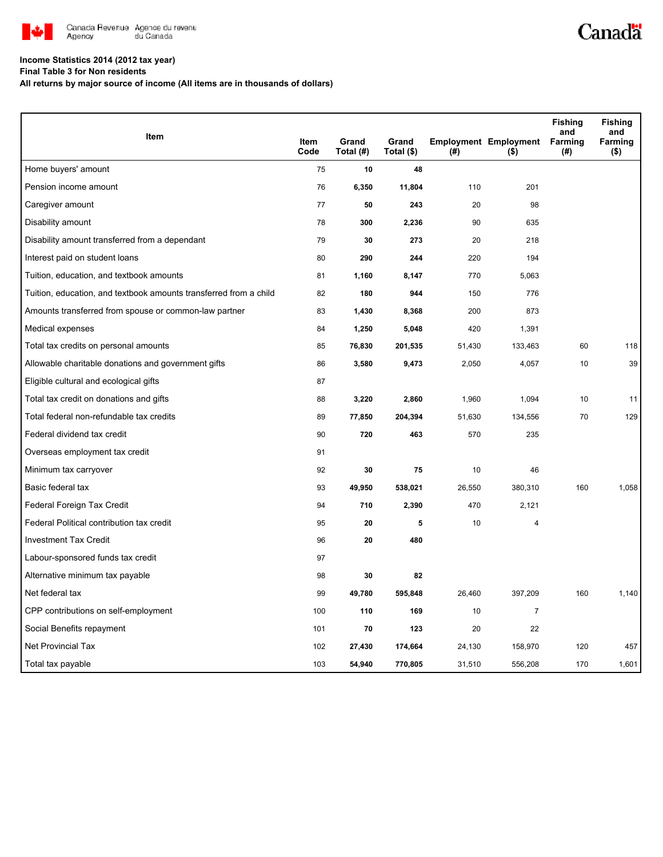

## **Income Statistics 2014 (2012 tax year)**

**Final Table 3 for Non residents**

**All returns by major source of income (All items are in thousands of dollars)**

| <b>Item</b>                                                       |              |                    |                     |        |                                         | <b>Fishing</b><br>and | <b>Fishing</b><br>and |
|-------------------------------------------------------------------|--------------|--------------------|---------------------|--------|-----------------------------------------|-----------------------|-----------------------|
|                                                                   | Item<br>Code | Grand<br>Total (#) | Grand<br>Total (\$) | (#)    | <b>Employment Employment</b><br>$($ \$) | Farming<br>(#)        | Farming<br>$($ \$)    |
| Home buyers' amount                                               | 75           | 10                 | 48                  |        |                                         |                       |                       |
| Pension income amount                                             | 76           | 6,350              | 11,804              | 110    | 201                                     |                       |                       |
| Caregiver amount                                                  | 77           | 50                 | 243                 | 20     | 98                                      |                       |                       |
| Disability amount                                                 | 78           | 300                | 2,236               | 90     | 635                                     |                       |                       |
| Disability amount transferred from a dependant                    | 79           | 30                 | 273                 | 20     | 218                                     |                       |                       |
| Interest paid on student loans                                    | 80           | 290                | 244                 | 220    | 194                                     |                       |                       |
| Tuition, education, and textbook amounts                          | 81           | 1,160              | 8,147               | 770    | 5,063                                   |                       |                       |
| Tuition, education, and textbook amounts transferred from a child | 82           | 180                | 944                 | 150    | 776                                     |                       |                       |
| Amounts transferred from spouse or common-law partner             | 83           | 1,430              | 8,368               | 200    | 873                                     |                       |                       |
| Medical expenses                                                  | 84           | 1,250              | 5,048               | 420    | 1,391                                   |                       |                       |
| Total tax credits on personal amounts                             | 85           | 76,830             | 201,535             | 51,430 | 133,463                                 | 60                    | 118                   |
| Allowable charitable donations and government gifts               | 86           | 3,580              | 9,473               | 2,050  | 4,057                                   | 10                    | 39                    |
| Eligible cultural and ecological gifts                            | 87           |                    |                     |        |                                         |                       |                       |
| Total tax credit on donations and gifts                           | 88           | 3,220              | 2,860               | 1,960  | 1,094                                   | 10                    | 11                    |
| Total federal non-refundable tax credits                          | 89           | 77,850             | 204,394             | 51,630 | 134,556                                 | 70                    | 129                   |
| Federal dividend tax credit                                       | 90           | 720                | 463                 | 570    | 235                                     |                       |                       |
| Overseas employment tax credit                                    | 91           |                    |                     |        |                                         |                       |                       |
| Minimum tax carryover                                             | 92           | 30                 | 75                  | 10     | 46                                      |                       |                       |
| Basic federal tax                                                 | 93           | 49,950             | 538,021             | 26,550 | 380,310                                 | 160                   | 1,058                 |
| Federal Foreign Tax Credit                                        | 94           | 710                | 2,390               | 470    | 2,121                                   |                       |                       |
| Federal Political contribution tax credit                         | 95           | 20                 | 5                   | 10     | 4                                       |                       |                       |
| <b>Investment Tax Credit</b>                                      | 96           | 20                 | 480                 |        |                                         |                       |                       |
| Labour-sponsored funds tax credit                                 | 97           |                    |                     |        |                                         |                       |                       |
| Alternative minimum tax payable                                   | 98           | 30                 | 82                  |        |                                         |                       |                       |
| Net federal tax                                                   | 99           | 49,780             | 595,848             | 26,460 | 397,209                                 | 160                   | 1,140                 |
| CPP contributions on self-employment                              | 100          | 110                | 169                 | 10     | $\overline{7}$                          |                       |                       |
| Social Benefits repayment                                         | 101          | 70                 | 123                 | 20     | 22                                      |                       |                       |
| <b>Net Provincial Tax</b>                                         | 102          | 27,430             | 174,664             | 24,130 | 158,970                                 | 120                   | 457                   |
| Total tax payable                                                 | 103          | 54,940             | 770,805             | 31,510 | 556,208                                 | 170                   | 1,601                 |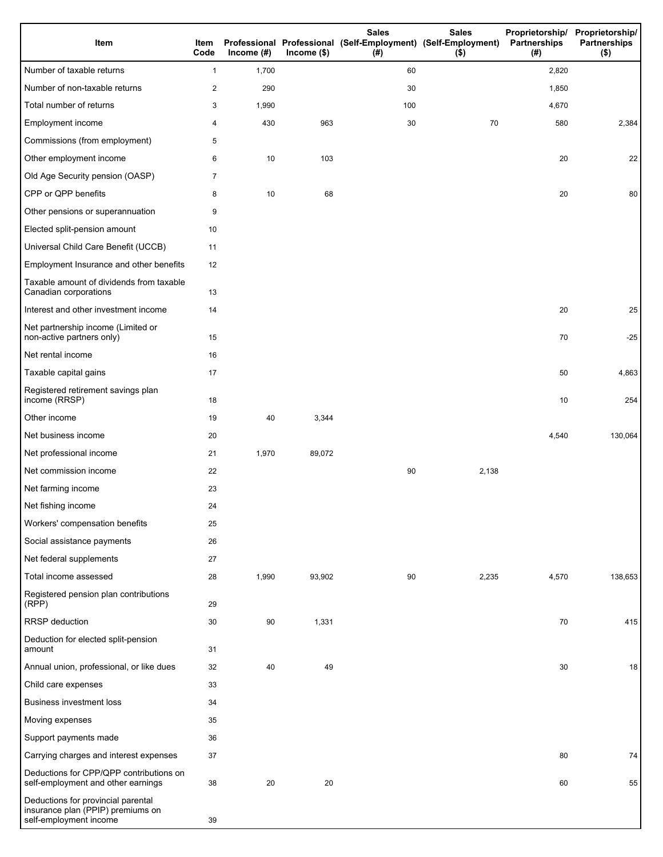| Item                                                                                              | Item<br>Code   | Income $(\#)$ | $Income$ (\$) | <b>Sales</b><br>Professional Professional (Self-Employment) (Self-Employment)<br>(# ) | <b>Sales</b><br>$($ \$) | Proprietorship/ Proprietorship/<br>Partnerships<br>(#) | <b>Partnerships</b><br>$($ \$) |
|---------------------------------------------------------------------------------------------------|----------------|---------------|---------------|---------------------------------------------------------------------------------------|-------------------------|--------------------------------------------------------|--------------------------------|
| Number of taxable returns                                                                         | 1              | 1,700         |               | 60                                                                                    |                         | 2,820                                                  |                                |
| Number of non-taxable returns                                                                     | $\overline{2}$ | 290           |               | 30                                                                                    |                         | 1,850                                                  |                                |
| Total number of returns                                                                           | 3              | 1,990         |               | 100                                                                                   |                         | 4,670                                                  |                                |
| Employment income                                                                                 | 4              | 430           | 963           | 30                                                                                    | 70                      | 580                                                    | 2,384                          |
| Commissions (from employment)                                                                     | 5              |               |               |                                                                                       |                         |                                                        |                                |
| Other employment income                                                                           | 6              | 10            | 103           |                                                                                       |                         | 20                                                     | 22                             |
| Old Age Security pension (OASP)                                                                   | $\overline{7}$ |               |               |                                                                                       |                         |                                                        |                                |
| CPP or QPP benefits                                                                               | 8              | 10            | 68            |                                                                                       |                         | 20                                                     | 80                             |
| Other pensions or superannuation                                                                  | 9              |               |               |                                                                                       |                         |                                                        |                                |
| Elected split-pension amount                                                                      | 10             |               |               |                                                                                       |                         |                                                        |                                |
| Universal Child Care Benefit (UCCB)                                                               | 11             |               |               |                                                                                       |                         |                                                        |                                |
| Employment Insurance and other benefits                                                           | 12             |               |               |                                                                                       |                         |                                                        |                                |
| Taxable amount of dividends from taxable<br>Canadian corporations                                 | 13             |               |               |                                                                                       |                         |                                                        |                                |
| Interest and other investment income                                                              | 14             |               |               |                                                                                       |                         | 20                                                     | 25                             |
| Net partnership income (Limited or<br>non-active partners only)                                   | 15             |               |               |                                                                                       |                         | 70                                                     | $-25$                          |
| Net rental income                                                                                 | 16             |               |               |                                                                                       |                         |                                                        |                                |
| Taxable capital gains                                                                             | 17             |               |               |                                                                                       |                         | 50                                                     | 4,863                          |
| Registered retirement savings plan<br>income (RRSP)                                               | 18             |               |               |                                                                                       |                         | 10                                                     | 254                            |
| Other income                                                                                      | 19             | 40            | 3,344         |                                                                                       |                         |                                                        |                                |
| Net business income                                                                               | 20             |               |               |                                                                                       |                         | 4,540                                                  | 130,064                        |
| Net professional income                                                                           | 21             | 1,970         | 89,072        |                                                                                       |                         |                                                        |                                |
| Net commission income                                                                             | 22             |               |               | 90                                                                                    | 2,138                   |                                                        |                                |
| Net farming income                                                                                | 23             |               |               |                                                                                       |                         |                                                        |                                |
| Net fishing income                                                                                | 24             |               |               |                                                                                       |                         |                                                        |                                |
| Workers' compensation benefits                                                                    | 25             |               |               |                                                                                       |                         |                                                        |                                |
| Social assistance payments                                                                        | 26             |               |               |                                                                                       |                         |                                                        |                                |
| Net federal supplements                                                                           | 27             |               |               |                                                                                       |                         |                                                        |                                |
| Total income assessed                                                                             | 28             | 1,990         | 93,902        | 90                                                                                    | 2,235                   | 4,570                                                  | 138,653                        |
| Registered pension plan contributions<br>(RPP)                                                    | 29             |               |               |                                                                                       |                         |                                                        |                                |
| RRSP deduction                                                                                    | 30             | 90            | 1,331         |                                                                                       |                         | 70                                                     | 415                            |
| Deduction for elected split-pension<br>amount                                                     | 31             |               |               |                                                                                       |                         |                                                        |                                |
| Annual union, professional, or like dues                                                          | 32             | 40            | 49            |                                                                                       |                         | 30                                                     | 18                             |
| Child care expenses                                                                               | 33             |               |               |                                                                                       |                         |                                                        |                                |
| Business investment loss                                                                          | 34             |               |               |                                                                                       |                         |                                                        |                                |
| Moving expenses                                                                                   | 35             |               |               |                                                                                       |                         |                                                        |                                |
| Support payments made                                                                             | 36             |               |               |                                                                                       |                         |                                                        |                                |
| Carrying charges and interest expenses                                                            | 37             |               |               |                                                                                       |                         | 80                                                     | 74                             |
| Deductions for CPP/QPP contributions on<br>self-employment and other earnings                     | 38             | 20            | 20            |                                                                                       |                         | 60                                                     | 55                             |
| Deductions for provincial parental<br>insurance plan (PPIP) premiums on<br>self-employment income | 39             |               |               |                                                                                       |                         |                                                        |                                |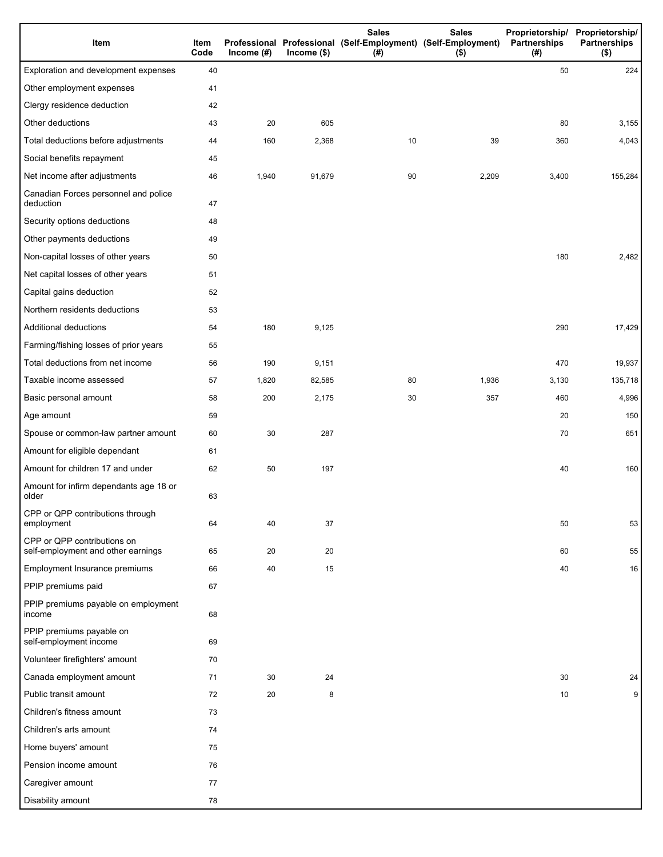| Item                                                              | Item<br>Code | Income $(#)$ | Income $($)$ | <b>Sales</b><br>Professional Professional (Self-Employment) (Self-Employment)<br>(# ) | <b>Sales</b><br>$($ \$) | Proprietorship/<br>Partnerships<br>(#) | Proprietorship/<br><b>Partnerships</b><br>$($ \$) |
|-------------------------------------------------------------------|--------------|--------------|--------------|---------------------------------------------------------------------------------------|-------------------------|----------------------------------------|---------------------------------------------------|
| Exploration and development expenses                              | 40           |              |              |                                                                                       |                         | 50                                     | 224                                               |
| Other employment expenses                                         | 41           |              |              |                                                                                       |                         |                                        |                                                   |
| Clergy residence deduction                                        | 42           |              |              |                                                                                       |                         |                                        |                                                   |
| Other deductions                                                  | 43           | 20           | 605          |                                                                                       |                         | 80                                     | 3,155                                             |
| Total deductions before adjustments                               | 44           | 160          | 2,368        | 10                                                                                    | 39                      | 360                                    | 4,043                                             |
| Social benefits repayment                                         | 45           |              |              |                                                                                       |                         |                                        |                                                   |
| Net income after adjustments                                      | 46           | 1,940        | 91,679       | 90                                                                                    | 2,209                   | 3,400                                  | 155,284                                           |
| Canadian Forces personnel and police<br>deduction                 | 47           |              |              |                                                                                       |                         |                                        |                                                   |
| Security options deductions                                       | 48           |              |              |                                                                                       |                         |                                        |                                                   |
| Other payments deductions                                         | 49           |              |              |                                                                                       |                         |                                        |                                                   |
| Non-capital losses of other years                                 | 50           |              |              |                                                                                       |                         | 180                                    | 2,482                                             |
| Net capital losses of other years                                 | 51           |              |              |                                                                                       |                         |                                        |                                                   |
| Capital gains deduction                                           | 52           |              |              |                                                                                       |                         |                                        |                                                   |
| Northern residents deductions                                     | 53           |              |              |                                                                                       |                         |                                        |                                                   |
| Additional deductions                                             | 54           | 180          | 9,125        |                                                                                       |                         | 290                                    | 17,429                                            |
| Farming/fishing losses of prior years                             | 55           |              |              |                                                                                       |                         |                                        |                                                   |
| Total deductions from net income                                  | 56           | 190          | 9,151        |                                                                                       |                         | 470                                    | 19,937                                            |
| Taxable income assessed                                           | 57           | 1,820        | 82,585       | 80                                                                                    | 1,936                   | 3,130                                  | 135,718                                           |
| Basic personal amount                                             | 58           | 200          | 2,175        | 30                                                                                    | 357                     | 460                                    | 4,996                                             |
| Age amount                                                        | 59           |              |              |                                                                                       |                         | 20                                     | 150                                               |
| Spouse or common-law partner amount                               | 60           | 30           | 287          |                                                                                       |                         | 70                                     | 651                                               |
| Amount for eligible dependant                                     | 61           |              |              |                                                                                       |                         |                                        |                                                   |
| Amount for children 17 and under                                  | 62           | 50           | 197          |                                                                                       |                         | 40                                     | 160                                               |
| Amount for infirm dependants age 18 or<br>older                   | 63           |              |              |                                                                                       |                         |                                        |                                                   |
| CPP or QPP contributions through<br>employment                    | 64           | 40           | 37           |                                                                                       |                         | 50                                     | 53                                                |
| CPP or QPP contributions on<br>self-employment and other earnings | 65           | 20           | 20           |                                                                                       |                         | 60                                     | 55                                                |
| Employment Insurance premiums                                     | 66           | 40           | 15           |                                                                                       |                         | 40                                     | 16                                                |
| PPIP premiums paid                                                | 67           |              |              |                                                                                       |                         |                                        |                                                   |
| PPIP premiums payable on employment<br>income                     | 68           |              |              |                                                                                       |                         |                                        |                                                   |
| PPIP premiums payable on<br>self-employment income                | 69           |              |              |                                                                                       |                         |                                        |                                                   |
| Volunteer firefighters' amount                                    | 70           |              |              |                                                                                       |                         |                                        |                                                   |
| Canada employment amount                                          | 71           | 30           | 24           |                                                                                       |                         | 30                                     | 24                                                |
| Public transit amount                                             | 72           | 20           | 8            |                                                                                       |                         | 10                                     | 9 <sup>1</sup>                                    |
| Children's fitness amount                                         | 73           |              |              |                                                                                       |                         |                                        |                                                   |
| Children's arts amount                                            | 74           |              |              |                                                                                       |                         |                                        |                                                   |
| Home buyers' amount                                               | 75           |              |              |                                                                                       |                         |                                        |                                                   |
| Pension income amount                                             | 76           |              |              |                                                                                       |                         |                                        |                                                   |
| Caregiver amount                                                  | 77           |              |              |                                                                                       |                         |                                        |                                                   |
| Disability amount                                                 | 78           |              |              |                                                                                       |                         |                                        |                                                   |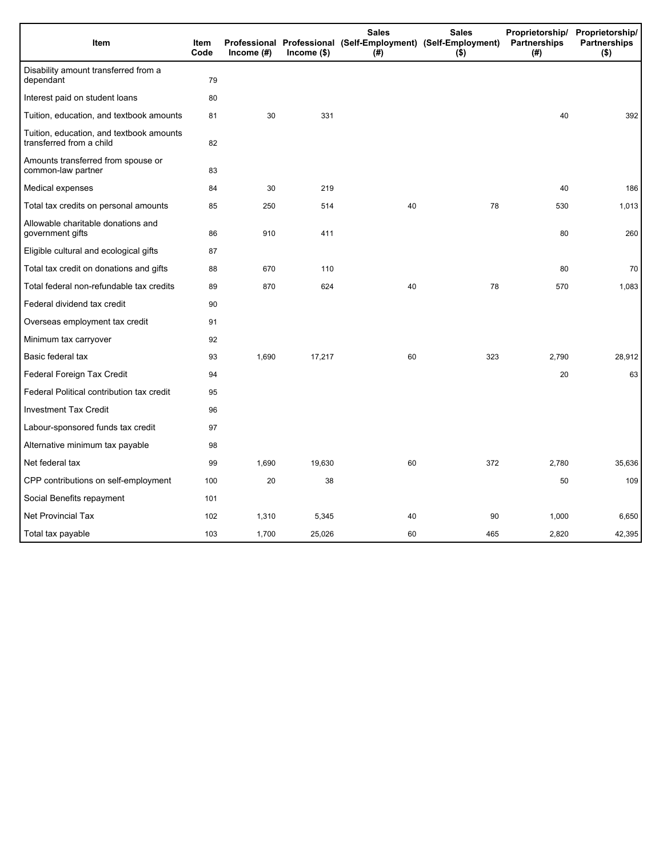| Item                                                                 | Item<br>Code | Income (#) | $Income$ (\$) | <b>Sales</b><br>Professional Professional (Self-Employment) (Self-Employment)<br>(# ) | <b>Sales</b><br>$($ \$) | Proprietorship/ Proprietorship/<br>Partnerships<br>(# ) | <b>Partnerships</b><br>$($ \$) |
|----------------------------------------------------------------------|--------------|------------|---------------|---------------------------------------------------------------------------------------|-------------------------|---------------------------------------------------------|--------------------------------|
| Disability amount transferred from a<br>dependant                    | 79           |            |               |                                                                                       |                         |                                                         |                                |
| Interest paid on student loans                                       | 80           |            |               |                                                                                       |                         |                                                         |                                |
| Tuition, education, and textbook amounts                             | 81           | 30         | 331           |                                                                                       |                         | 40                                                      | 392                            |
| Tuition, education, and textbook amounts<br>transferred from a child | 82           |            |               |                                                                                       |                         |                                                         |                                |
| Amounts transferred from spouse or<br>common-law partner             | 83           |            |               |                                                                                       |                         |                                                         |                                |
| Medical expenses                                                     | 84           | 30         | 219           |                                                                                       |                         | 40                                                      | 186                            |
| Total tax credits on personal amounts                                | 85           | 250        | 514           | 40                                                                                    | 78                      | 530                                                     | 1,013                          |
| Allowable charitable donations and<br>government gifts               | 86           | 910        | 411           |                                                                                       |                         | 80                                                      | 260                            |
| Eligible cultural and ecological gifts                               | 87           |            |               |                                                                                       |                         |                                                         |                                |
| Total tax credit on donations and gifts                              | 88           | 670        | 110           |                                                                                       |                         | 80                                                      | 70                             |
| Total federal non-refundable tax credits                             | 89           | 870        | 624           | 40                                                                                    | 78                      | 570                                                     | 1,083                          |
| Federal dividend tax credit                                          | 90           |            |               |                                                                                       |                         |                                                         |                                |
| Overseas employment tax credit                                       | 91           |            |               |                                                                                       |                         |                                                         |                                |
| Minimum tax carryover                                                | 92           |            |               |                                                                                       |                         |                                                         |                                |
| Basic federal tax                                                    | 93           | 1,690      | 17,217        | 60                                                                                    | 323                     | 2,790                                                   | 28,912                         |
| Federal Foreign Tax Credit                                           | 94           |            |               |                                                                                       |                         | 20                                                      | 63                             |
| Federal Political contribution tax credit                            | 95           |            |               |                                                                                       |                         |                                                         |                                |
| <b>Investment Tax Credit</b>                                         | 96           |            |               |                                                                                       |                         |                                                         |                                |
| Labour-sponsored funds tax credit                                    | 97           |            |               |                                                                                       |                         |                                                         |                                |
| Alternative minimum tax payable                                      | 98           |            |               |                                                                                       |                         |                                                         |                                |
| Net federal tax                                                      | 99           | 1,690      | 19,630        | 60                                                                                    | 372                     | 2,780                                                   | 35,636                         |
| CPP contributions on self-employment                                 | 100          | 20         | 38            |                                                                                       |                         | 50                                                      | 109                            |
| Social Benefits repayment                                            | 101          |            |               |                                                                                       |                         |                                                         |                                |
| Net Provincial Tax                                                   | 102          | 1,310      | 5,345         | 40                                                                                    | 90                      | 1,000                                                   | 6,650                          |
| Total tax payable                                                    | 103          | 1,700      | 25,026        | 60                                                                                    | 465                     | 2,820                                                   | 42,395                         |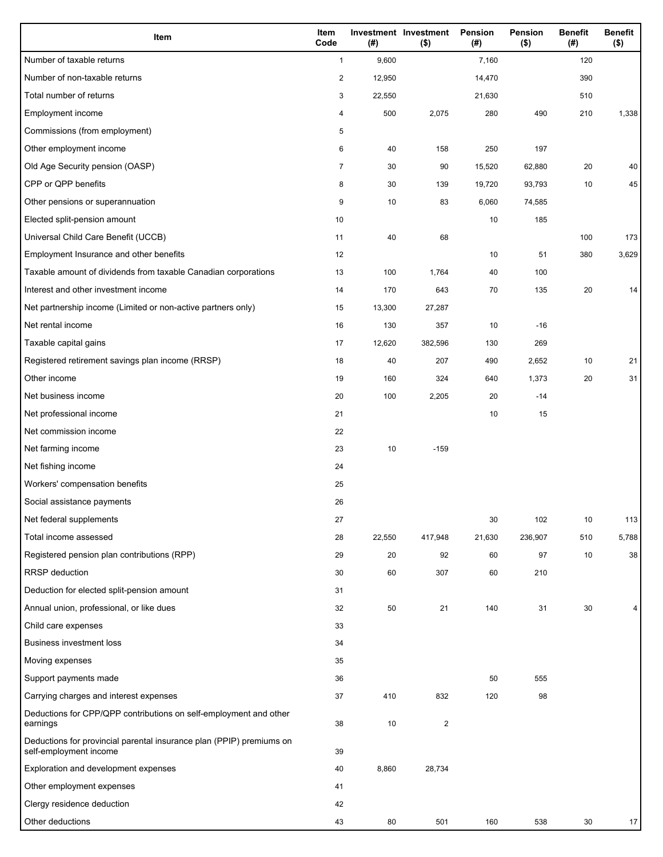| Item                                                                                           | Item<br>Code            | (#)    | Investment Investment<br>$($ \$) | Pension<br>(#) | <b>Pension</b><br>$($ \$) | <b>Benefit</b><br>(#) | <b>Benefit</b><br>$($ \$) |
|------------------------------------------------------------------------------------------------|-------------------------|--------|----------------------------------|----------------|---------------------------|-----------------------|---------------------------|
| Number of taxable returns                                                                      | $\mathbf{1}$            | 9,600  |                                  | 7,160          |                           | 120                   |                           |
| Number of non-taxable returns                                                                  | $\overline{\mathbf{c}}$ | 12,950 |                                  | 14,470         |                           | 390                   |                           |
| Total number of returns                                                                        | 3                       | 22,550 |                                  | 21,630         |                           | 510                   |                           |
| Employment income                                                                              | 4                       | 500    | 2,075                            | 280            | 490                       | 210                   | 1,338                     |
| Commissions (from employment)                                                                  | 5                       |        |                                  |                |                           |                       |                           |
| Other employment income                                                                        | 6                       | 40     | 158                              | 250            | 197                       |                       |                           |
| Old Age Security pension (OASP)                                                                | 7                       | 30     | 90                               | 15,520         | 62,880                    | 20                    | 40                        |
| CPP or QPP benefits                                                                            | 8                       | 30     | 139                              | 19,720         | 93,793                    | 10                    | 45                        |
| Other pensions or superannuation                                                               | 9                       | 10     | 83                               | 6,060          | 74,585                    |                       |                           |
| Elected split-pension amount                                                                   | 10                      |        |                                  | 10             | 185                       |                       |                           |
| Universal Child Care Benefit (UCCB)                                                            | 11                      | 40     | 68                               |                |                           | 100                   | 173                       |
| Employment Insurance and other benefits                                                        | 12                      |        |                                  | 10             | 51                        | 380                   | 3,629                     |
| Taxable amount of dividends from taxable Canadian corporations                                 | 13                      | 100    | 1,764                            | 40             | 100                       |                       |                           |
| Interest and other investment income                                                           | 14                      | 170    | 643                              | 70             | 135                       | 20                    | 14                        |
| Net partnership income (Limited or non-active partners only)                                   | 15                      | 13,300 | 27,287                           |                |                           |                       |                           |
| Net rental income                                                                              | 16                      | 130    | 357                              | 10             | $-16$                     |                       |                           |
| Taxable capital gains                                                                          | 17                      | 12,620 | 382,596                          | 130            | 269                       |                       |                           |
| Registered retirement savings plan income (RRSP)                                               | 18                      | 40     | 207                              | 490            | 2,652                     | 10                    | 21                        |
| Other income                                                                                   | 19                      | 160    | 324                              | 640            | 1,373                     | 20                    | 31                        |
| Net business income                                                                            | 20                      | 100    | 2,205                            | 20             | $-14$                     |                       |                           |
| Net professional income                                                                        | 21                      |        |                                  | 10             | 15                        |                       |                           |
| Net commission income                                                                          | 22                      |        |                                  |                |                           |                       |                           |
| Net farming income                                                                             | 23                      | 10     | $-159$                           |                |                           |                       |                           |
| Net fishing income                                                                             | 24                      |        |                                  |                |                           |                       |                           |
| Workers' compensation benefits                                                                 | 25                      |        |                                  |                |                           |                       |                           |
| Social assistance payments                                                                     | 26                      |        |                                  |                |                           |                       |                           |
| Net federal supplements                                                                        | 27                      |        |                                  | 30             | 102                       | 10                    | 113                       |
| Total income assessed                                                                          | 28                      | 22,550 | 417,948                          | 21,630         | 236,907                   | 510                   | 5,788                     |
| Registered pension plan contributions (RPP)                                                    | 29                      | 20     | 92                               | 60             | 97                        | 10                    | 38                        |
| <b>RRSP</b> deduction                                                                          | 30                      | 60     | 307                              | 60             | 210                       |                       |                           |
| Deduction for elected split-pension amount                                                     | 31                      |        |                                  |                |                           |                       |                           |
| Annual union, professional, or like dues                                                       | 32                      | 50     | 21                               | 140            | 31                        | 30                    |                           |
| Child care expenses                                                                            | 33                      |        |                                  |                |                           |                       |                           |
| <b>Business investment loss</b>                                                                | 34                      |        |                                  |                |                           |                       |                           |
| Moving expenses                                                                                | 35                      |        |                                  |                |                           |                       |                           |
| Support payments made                                                                          | 36                      |        |                                  | 50             | 555                       |                       |                           |
| Carrying charges and interest expenses                                                         | 37                      | 410    | 832                              | 120            | 98                        |                       |                           |
| Deductions for CPP/QPP contributions on self-employment and other<br>earnings                  | 38                      | 10     | $\overline{2}$                   |                |                           |                       |                           |
| Deductions for provincial parental insurance plan (PPIP) premiums on<br>self-employment income | 39                      |        |                                  |                |                           |                       |                           |
| Exploration and development expenses                                                           | 40                      | 8,860  | 28,734                           |                |                           |                       |                           |
| Other employment expenses                                                                      | 41                      |        |                                  |                |                           |                       |                           |
| Clergy residence deduction                                                                     | 42                      |        |                                  |                |                           |                       |                           |
| Other deductions                                                                               | 43                      | 80     | 501                              | 160            | 538                       | 30                    | 17                        |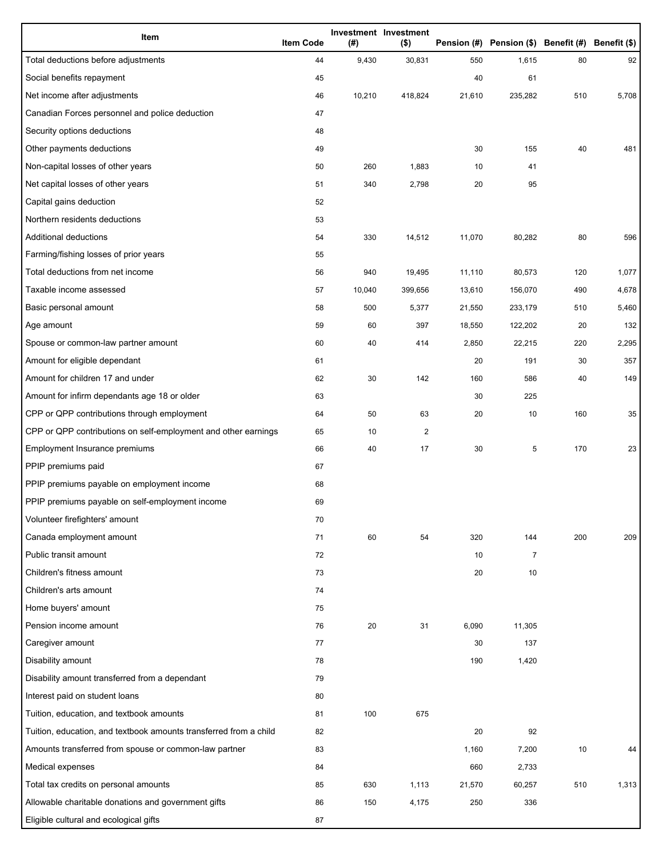| Item                                                              | <b>Item Code</b> | (#)    | Investment Investment<br>$($ \$) |        | Pension (#) Pension (\$) Benefit (#) Benefit (\$) |     |       |
|-------------------------------------------------------------------|------------------|--------|----------------------------------|--------|---------------------------------------------------|-----|-------|
| Total deductions before adjustments                               | 44               | 9,430  | 30,831                           | 550    | 1,615                                             | 80  | 92    |
| Social benefits repayment                                         | 45               |        |                                  | 40     | 61                                                |     |       |
| Net income after adjustments                                      | 46               | 10,210 | 418,824                          | 21,610 | 235,282                                           | 510 | 5,708 |
| Canadian Forces personnel and police deduction                    | 47               |        |                                  |        |                                                   |     |       |
| Security options deductions                                       | 48               |        |                                  |        |                                                   |     |       |
| Other payments deductions                                         | 49               |        |                                  | 30     | 155                                               | 40  | 481   |
| Non-capital losses of other years                                 | 50               | 260    | 1,883                            | 10     | 41                                                |     |       |
| Net capital losses of other years                                 | 51               | 340    | 2,798                            | 20     | 95                                                |     |       |
| Capital gains deduction                                           | 52               |        |                                  |        |                                                   |     |       |
| Northern residents deductions                                     | 53               |        |                                  |        |                                                   |     |       |
| Additional deductions                                             | 54               | 330    | 14,512                           | 11,070 | 80,282                                            | 80  | 596   |
| Farming/fishing losses of prior years                             | 55               |        |                                  |        |                                                   |     |       |
| Total deductions from net income                                  | 56               | 940    | 19,495                           | 11,110 | 80,573                                            | 120 | 1,077 |
| Taxable income assessed                                           | 57               | 10,040 | 399,656                          | 13,610 | 156,070                                           | 490 | 4,678 |
| Basic personal amount                                             | 58               | 500    | 5,377                            | 21,550 | 233,179                                           | 510 | 5,460 |
| Age amount                                                        | 59               | 60     | 397                              | 18,550 | 122,202                                           | 20  | 132   |
| Spouse or common-law partner amount                               | 60               | 40     | 414                              | 2,850  | 22,215                                            | 220 | 2,295 |
| Amount for eligible dependant                                     | 61               |        |                                  | 20     | 191                                               | 30  | 357   |
| Amount for children 17 and under                                  | 62               | 30     | 142                              | 160    | 586                                               | 40  | 149   |
| Amount for infirm dependants age 18 or older                      | 63               |        |                                  | 30     | 225                                               |     |       |
| CPP or QPP contributions through employment                       | 64               | 50     | 63                               | 20     | 10                                                | 160 | 35    |
| CPP or QPP contributions on self-employment and other earnings    | 65               | 10     | 2                                |        |                                                   |     |       |
| Employment Insurance premiums                                     | 66               | 40     | 17                               | 30     | 5                                                 | 170 | 23    |
| PPIP premiums paid                                                | 67               |        |                                  |        |                                                   |     |       |
| PPIP premiums payable on employment income                        | 68               |        |                                  |        |                                                   |     |       |
| PPIP premiums payable on self-employment income                   | 69               |        |                                  |        |                                                   |     |       |
| Volunteer firefighters' amount                                    | 70               |        |                                  |        |                                                   |     |       |
| Canada employment amount                                          | 71               | 60     | 54                               | 320    | 144                                               | 200 | 209   |
| Public transit amount                                             | 72               |        |                                  | 10     | $\overline{7}$                                    |     |       |
| Children's fitness amount                                         | 73               |        |                                  | 20     | 10                                                |     |       |
| Children's arts amount                                            | 74               |        |                                  |        |                                                   |     |       |
| Home buyers' amount                                               | 75               |        |                                  |        |                                                   |     |       |
| Pension income amount                                             | 76               | 20     | 31                               | 6,090  | 11,305                                            |     |       |
| Caregiver amount                                                  | 77               |        |                                  | 30     | 137                                               |     |       |
| Disability amount                                                 | 78               |        |                                  | 190    | 1,420                                             |     |       |
| Disability amount transferred from a dependant                    | 79               |        |                                  |        |                                                   |     |       |
| Interest paid on student loans                                    | 80               |        |                                  |        |                                                   |     |       |
| Tuition, education, and textbook amounts                          | 81               | 100    | 675                              |        |                                                   |     |       |
| Tuition, education, and textbook amounts transferred from a child | 82               |        |                                  | 20     | 92                                                |     |       |
| Amounts transferred from spouse or common-law partner             | 83               |        |                                  | 1,160  | 7,200                                             | 10  | 44    |
| Medical expenses                                                  | 84               |        |                                  | 660    | 2,733                                             |     |       |
| Total tax credits on personal amounts                             | 85               | 630    | 1,113                            | 21,570 | 60,257                                            | 510 | 1,313 |
| Allowable charitable donations and government gifts               | 86               | 150    | 4,175                            | 250    | 336                                               |     |       |
| Eligible cultural and ecological gifts                            | 87               |        |                                  |        |                                                   |     |       |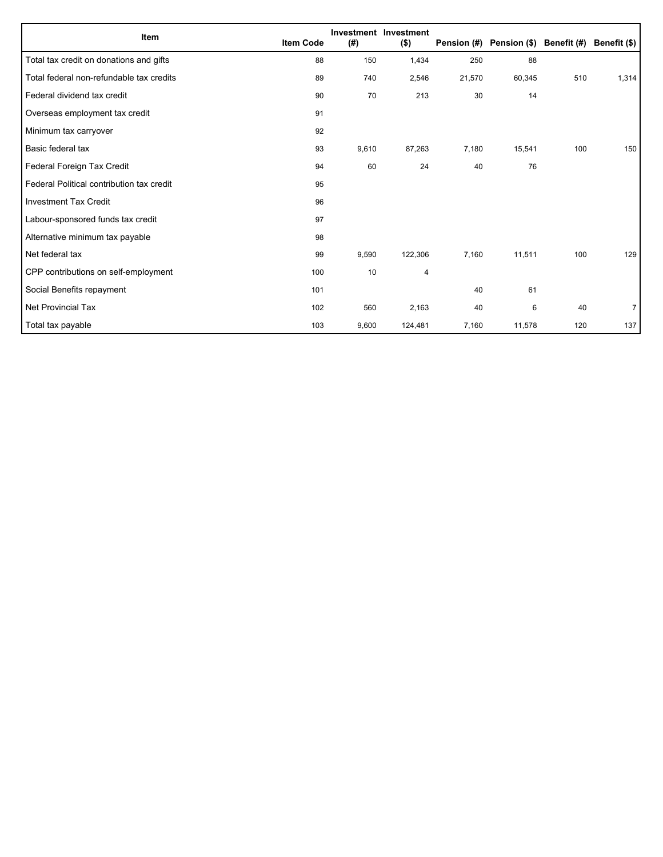| Item                                      | <b>Item Code</b> | (#)   | Investment Investment<br>$($ \$) |        | Pension (#) Pension (\$) Benefit (#) Benefit (\$) |     |       |
|-------------------------------------------|------------------|-------|----------------------------------|--------|---------------------------------------------------|-----|-------|
| Total tax credit on donations and gifts   | 88               | 150   | 1,434                            | 250    | 88                                                |     |       |
|                                           |                  |       |                                  |        |                                                   |     |       |
| Total federal non-refundable tax credits  | 89               | 740   | 2,546                            | 21,570 | 60,345                                            | 510 | 1,314 |
| Federal dividend tax credit               | 90               | 70    | 213                              | 30     | 14                                                |     |       |
| Overseas employment tax credit            | 91               |       |                                  |        |                                                   |     |       |
| Minimum tax carryover                     | 92               |       |                                  |        |                                                   |     |       |
| Basic federal tax                         | 93               | 9,610 | 87,263                           | 7,180  | 15,541                                            | 100 | 150   |
| Federal Foreign Tax Credit                | 94               | 60    | 24                               | 40     | 76                                                |     |       |
| Federal Political contribution tax credit | 95               |       |                                  |        |                                                   |     |       |
| <b>Investment Tax Credit</b>              | 96               |       |                                  |        |                                                   |     |       |
| Labour-sponsored funds tax credit         | 97               |       |                                  |        |                                                   |     |       |
| Alternative minimum tax payable           | 98               |       |                                  |        |                                                   |     |       |
| Net federal tax                           | 99               | 9,590 | 122,306                          | 7,160  | 11,511                                            | 100 | 129   |
| CPP contributions on self-employment      | 100              | 10    | 4                                |        |                                                   |     |       |
| Social Benefits repayment                 | 101              |       |                                  | 40     | 61                                                |     |       |
| Net Provincial Tax                        | 102              | 560   | 2,163                            | 40     | 6                                                 | 40  | 7     |
| Total tax payable                         | 103              | 9,600 | 124,481                          | 7,160  | 11,578                                            | 120 | 137   |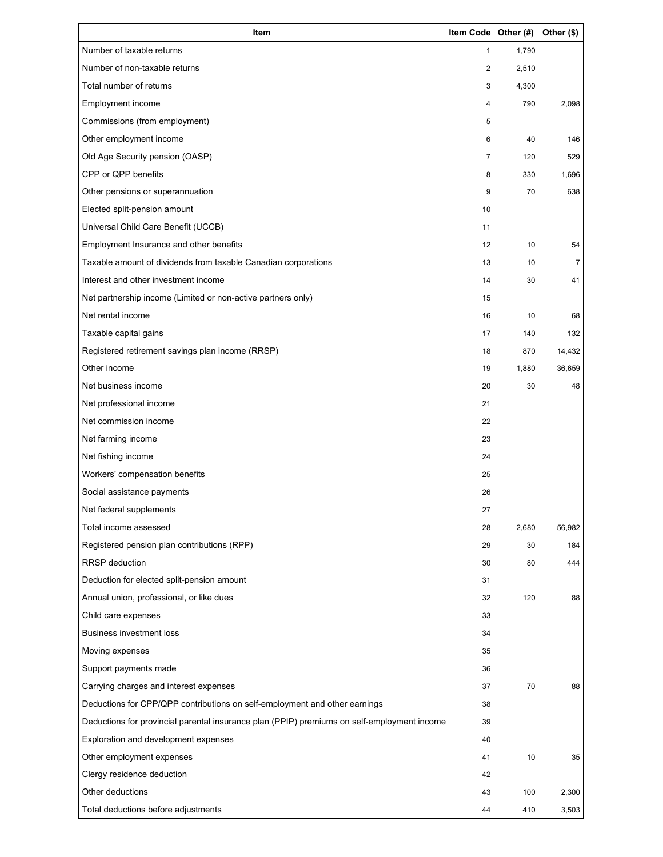| Item                                                                                        | Item Code Other (#) |       | Other (\$)     |
|---------------------------------------------------------------------------------------------|---------------------|-------|----------------|
| Number of taxable returns                                                                   | 1                   | 1,790 |                |
| Number of non-taxable returns                                                               | 2                   | 2,510 |                |
| Total number of returns                                                                     | 3                   | 4,300 |                |
| Employment income                                                                           | 4                   | 790   | 2,098          |
| Commissions (from employment)                                                               | 5                   |       |                |
| Other employment income                                                                     | 6                   | 40    | 146            |
| Old Age Security pension (OASP)                                                             | $\overline{7}$      | 120   | 529            |
| CPP or QPP benefits                                                                         | 8                   | 330   | 1,696          |
| Other pensions or superannuation                                                            | 9                   | 70    | 638            |
| Elected split-pension amount                                                                | 10                  |       |                |
| Universal Child Care Benefit (UCCB)                                                         | 11                  |       |                |
| Employment Insurance and other benefits                                                     | 12                  | 10    | 54             |
| Taxable amount of dividends from taxable Canadian corporations                              | 13                  | 10    | $\overline{7}$ |
| Interest and other investment income                                                        | 14                  | 30    | 41             |
| Net partnership income (Limited or non-active partners only)                                | 15                  |       |                |
| Net rental income                                                                           | 16                  | 10    | 68             |
| Taxable capital gains                                                                       | 17                  | 140   | 132            |
| Registered retirement savings plan income (RRSP)                                            | 18                  | 870   | 14,432         |
| Other income                                                                                | 19                  | 1,880 | 36,659         |
| Net business income                                                                         | 20                  | 30    | 48             |
| Net professional income                                                                     | 21                  |       |                |
| Net commission income                                                                       | 22                  |       |                |
| Net farming income                                                                          | 23                  |       |                |
| Net fishing income                                                                          | 24                  |       |                |
| Workers' compensation benefits                                                              | 25                  |       |                |
| Social assistance payments                                                                  | 26                  |       |                |
| Net federal supplements                                                                     | 27                  |       |                |
| Total income assessed                                                                       | 28                  | 2,680 | 56,982         |
| Registered pension plan contributions (RPP)                                                 | 29                  | 30    | 184            |
| RRSP deduction                                                                              | 30                  | 80    | 444            |
| Deduction for elected split-pension amount                                                  | 31                  |       |                |
| Annual union, professional, or like dues                                                    | 32                  | 120   | 88             |
| Child care expenses                                                                         | 33                  |       |                |
| <b>Business investment loss</b>                                                             | 34                  |       |                |
| Moving expenses                                                                             | 35                  |       |                |
| Support payments made                                                                       | 36                  |       |                |
| Carrying charges and interest expenses                                                      | 37                  | 70    | 88             |
| Deductions for CPP/QPP contributions on self-employment and other earnings                  | 38                  |       |                |
| Deductions for provincial parental insurance plan (PPIP) premiums on self-employment income | 39                  |       |                |
| Exploration and development expenses                                                        | 40                  |       |                |
| Other employment expenses                                                                   | 41                  | 10    | 35             |
| Clergy residence deduction                                                                  | 42                  |       |                |
| Other deductions                                                                            | 43                  | 100   | 2,300          |
| Total deductions before adjustments                                                         | 44                  | 410   | 3,503          |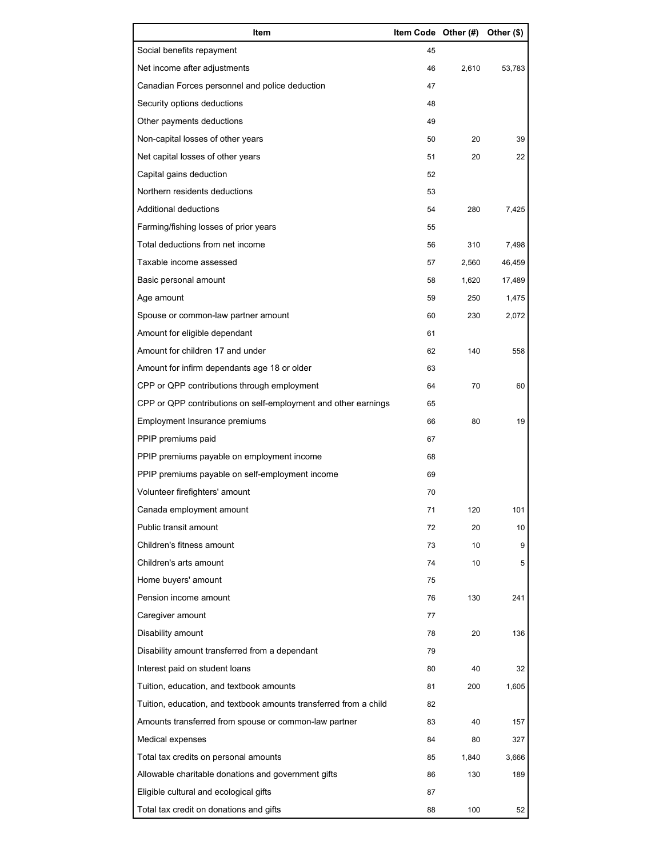| Item                                                              | Item Code Other (#) |       | Other (\$) |
|-------------------------------------------------------------------|---------------------|-------|------------|
| Social benefits repayment                                         | 45                  |       |            |
| Net income after adjustments                                      | 46                  | 2,610 | 53,783     |
| Canadian Forces personnel and police deduction                    | 47                  |       |            |
| Security options deductions                                       | 48                  |       |            |
| Other payments deductions                                         | 49                  |       |            |
| Non-capital losses of other years                                 | 50                  | 20    | 39         |
| Net capital losses of other years                                 | 51                  | 20    | 22         |
| Capital gains deduction                                           | 52                  |       |            |
| Northern residents deductions                                     | 53                  |       |            |
| Additional deductions                                             | 54                  | 280   | 7,425      |
| Farming/fishing losses of prior years                             | 55                  |       |            |
| Total deductions from net income                                  | 56                  | 310   | 7,498      |
| Taxable income assessed                                           | 57                  | 2,560 | 46,459     |
| Basic personal amount                                             | 58                  | 1,620 | 17,489     |
| Age amount                                                        | 59                  | 250   | 1,475      |
| Spouse or common-law partner amount                               | 60                  | 230   | 2,072      |
| Amount for eligible dependant                                     | 61                  |       |            |
| Amount for children 17 and under                                  | 62                  | 140   | 558        |
| Amount for infirm dependants age 18 or older                      | 63                  |       |            |
| CPP or QPP contributions through employment                       | 64                  | 70    | 60         |
| CPP or QPP contributions on self-employment and other earnings    | 65                  |       |            |
| Employment Insurance premiums                                     | 66                  | 80    | 19         |
| PPIP premiums paid                                                | 67                  |       |            |
| PPIP premiums payable on employment income                        | 68                  |       |            |
| PPIP premiums payable on self-employment income                   | 69                  |       |            |
| Volunteer firefighters' amount                                    | 70                  |       |            |
| Canada employment amount                                          | 71                  | 120   | 101        |
| Public transit amount                                             | 72                  | 20    | 10         |
| Children's fitness amount                                         | 73                  | 10    | 9          |
| Children's arts amount                                            | 74                  | 10    | 5          |
| Home buyers' amount                                               | 75                  |       |            |
| Pension income amount                                             | 76                  | 130   | 241        |
| Caregiver amount                                                  | 77                  |       |            |
| Disability amount                                                 | 78                  | 20    | 136        |
| Disability amount transferred from a dependant                    | 79                  |       |            |
| Interest paid on student loans                                    | 80                  | 40    | 32         |
| Tuition, education, and textbook amounts                          | 81                  | 200   | 1,605      |
| Tuition, education, and textbook amounts transferred from a child | 82                  |       |            |
| Amounts transferred from spouse or common-law partner             | 83                  | 40    | 157        |
| Medical expenses                                                  | 84                  | 80    | 327        |
| Total tax credits on personal amounts                             | 85                  | 1,840 | 3,666      |
| Allowable charitable donations and government gifts               | 86                  | 130   | 189        |
| Eligible cultural and ecological gifts                            | 87                  |       |            |
| Total tax credit on donations and gifts                           | 88                  | 100   | 52         |